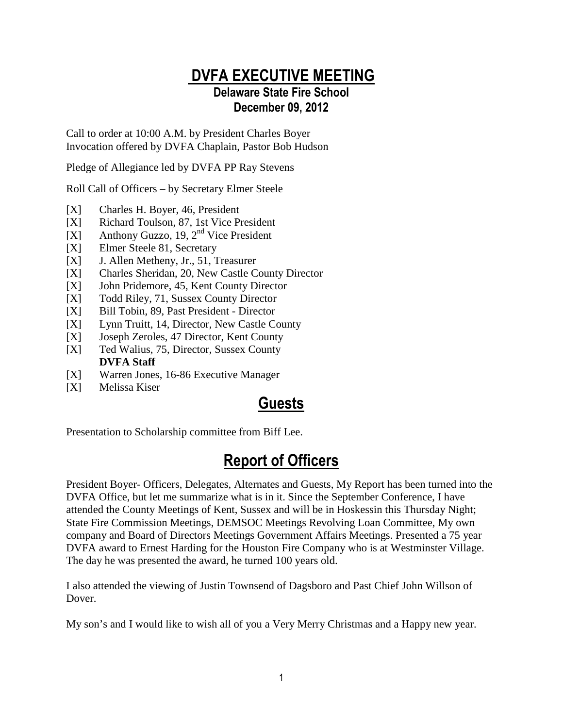## DVFA EXECUTIVE MEETING

#### Delaware State Fire School December 09, 2012

Call to order at 10:00 A.M. by President Charles Boyer Invocation offered by DVFA Chaplain, Pastor Bob Hudson

Pledge of Allegiance led by DVFA PP Ray Stevens

Roll Call of Officers – by Secretary Elmer Steele

- [X] Charles H. Boyer, 46, President
- [X] Richard Toulson, 87, 1st Vice President
- [X] Anthony Guzzo, 19,  $2<sup>nd</sup>$  Vice President
- [X] Elmer Steele 81, Secretary
- [X] J. Allen Metheny, Jr., 51, Treasurer
- [X] Charles Sheridan, 20, New Castle County Director
- [X] John Pridemore, 45, Kent County Director
- [X] Todd Riley, 71, Sussex County Director
- [X] Bill Tobin, 89, Past President Director
- [X] Lynn Truitt, 14, Director, New Castle County
- [X] Joseph Zeroles, 47 Director, Kent County
- [X] Ted Walius, 75, Director, Sussex County **DVFA Staff**
- [X] Warren Jones, 16-86 Executive Manager
- [X] Melissa Kiser

### Guests

Presentation to Scholarship committee from Biff Lee.

## Report of Officers

President Boyer- Officers, Delegates, Alternates and Guests, My Report has been turned into the DVFA Office, but let me summarize what is in it. Since the September Conference, I have attended the County Meetings of Kent, Sussex and will be in Hoskessin this Thursday Night; State Fire Commission Meetings, DEMSOC Meetings Revolving Loan Committee, My own company and Board of Directors Meetings Government Affairs Meetings. Presented a 75 year DVFA award to Ernest Harding for the Houston Fire Company who is at Westminster Village. The day he was presented the award, he turned 100 years old.

I also attended the viewing of Justin Townsend of Dagsboro and Past Chief John Willson of Dover.

My son's and I would like to wish all of you a Very Merry Christmas and a Happy new year.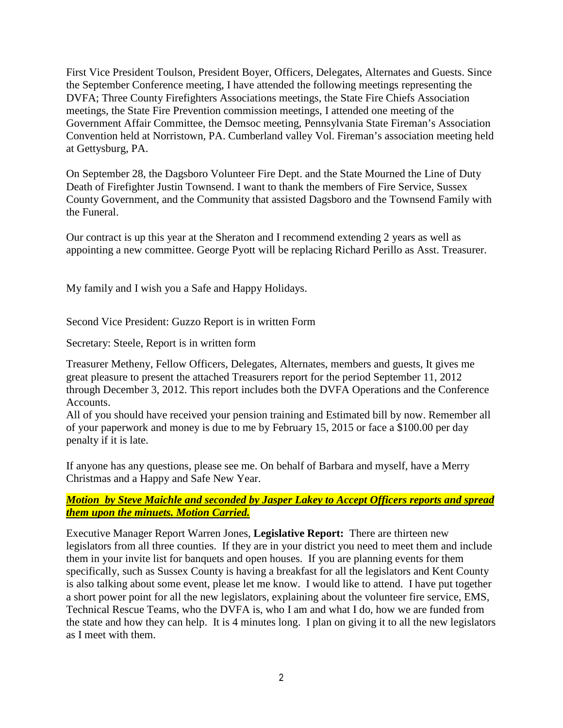First Vice President Toulson, President Boyer, Officers, Delegates, Alternates and Guests. Since the September Conference meeting, I have attended the following meetings representing the DVFA; Three County Firefighters Associations meetings, the State Fire Chiefs Association meetings, the State Fire Prevention commission meetings, I attended one meeting of the Government Affair Committee, the Demsoc meeting, Pennsylvania State Fireman's Association Convention held at Norristown, PA. Cumberland valley Vol. Fireman's association meeting held at Gettysburg, PA.

On September 28, the Dagsboro Volunteer Fire Dept. and the State Mourned the Line of Duty Death of Firefighter Justin Townsend. I want to thank the members of Fire Service, Sussex County Government, and the Community that assisted Dagsboro and the Townsend Family with the Funeral.

Our contract is up this year at the Sheraton and I recommend extending 2 years as well as appointing a new committee. George Pyott will be replacing Richard Perillo as Asst. Treasurer.

My family and I wish you a Safe and Happy Holidays.

Second Vice President: Guzzo Report is in written Form

Secretary: Steele, Report is in written form

Treasurer Metheny, Fellow Officers, Delegates, Alternates, members and guests, It gives me great pleasure to present the attached Treasurers report for the period September 11, 2012 through December 3, 2012. This report includes both the DVFA Operations and the Conference Accounts.

All of you should have received your pension training and Estimated bill by now. Remember all of your paperwork and money is due to me by February 15, 2015 or face a \$100.00 per day penalty if it is late.

If anyone has any questions, please see me. On behalf of Barbara and myself, have a Merry Christmas and a Happy and Safe New Year.

#### *Motion by Steve Maichle and seconded by Jasper Lakey to Accept Officers reports and spread them upon the minuets. Motion Carried.*

Executive Manager Report Warren Jones, **Legislative Report:** There are thirteen new legislators from all three counties. If they are in your district you need to meet them and include them in your invite list for banquets and open houses. If you are planning events for them specifically, such as Sussex County is having a breakfast for all the legislators and Kent County is also talking about some event, please let me know. I would like to attend. I have put together a short power point for all the new legislators, explaining about the volunteer fire service, EMS, Technical Rescue Teams, who the DVFA is, who I am and what I do, how we are funded from the state and how they can help. It is 4 minutes long. I plan on giving it to all the new legislators as I meet with them.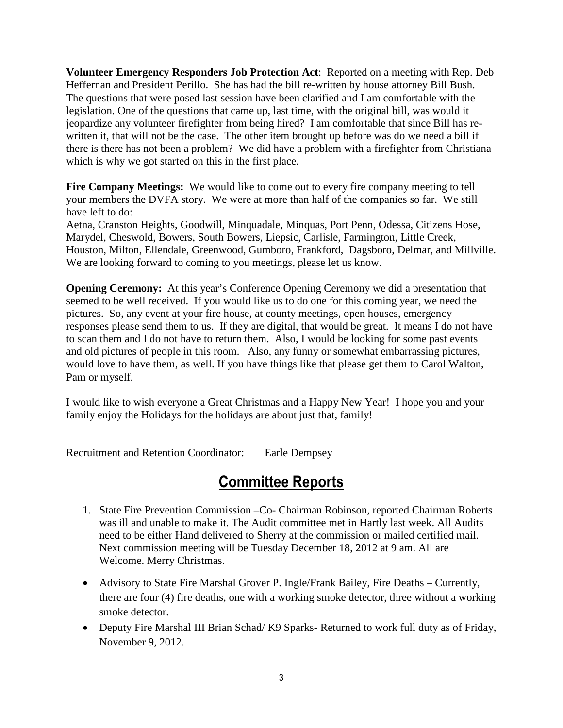**Volunteer Emergency Responders Job Protection Act**: Reported on a meeting with Rep. Deb Heffernan and President Perillo. She has had the bill re-written by house attorney Bill Bush. The questions that were posed last session have been clarified and I am comfortable with the legislation. One of the questions that came up, last time, with the original bill, was would it jeopardize any volunteer firefighter from being hired? I am comfortable that since Bill has rewritten it, that will not be the case. The other item brought up before was do we need a bill if there is there has not been a problem? We did have a problem with a firefighter from Christiana which is why we got started on this in the first place.

**Fire Company Meetings:** We would like to come out to every fire company meeting to tell your members the DVFA story. We were at more than half of the companies so far. We still have left to do:

Aetna, Cranston Heights, Goodwill, Minquadale, Minquas, Port Penn, Odessa, Citizens Hose, Marydel, Cheswold, Bowers, South Bowers, Liepsic, Carlisle, Farmington, Little Creek, Houston, Milton, Ellendale, Greenwood, Gumboro, Frankford, Dagsboro, Delmar, and Millville. We are looking forward to coming to you meetings, please let us know.

**Opening Ceremony:** At this year's Conference Opening Ceremony we did a presentation that seemed to be well received. If you would like us to do one for this coming year, we need the pictures. So, any event at your fire house, at county meetings, open houses, emergency responses please send them to us. If they are digital, that would be great. It means I do not have to scan them and I do not have to return them. Also, I would be looking for some past events and old pictures of people in this room. Also, any funny or somewhat embarrassing pictures, would love to have them, as well. If you have things like that please get them to Carol Walton, Pam or myself.

I would like to wish everyone a Great Christmas and a Happy New Year! I hope you and your family enjoy the Holidays for the holidays are about just that, family!

Recruitment and Retention Coordinator: Earle Dempsey

#### Committee Reports

- 1. State Fire Prevention Commission –Co- Chairman Robinson, reported Chairman Roberts was ill and unable to make it. The Audit committee met in Hartly last week. All Audits need to be either Hand delivered to Sherry at the commission or mailed certified mail. Next commission meeting will be Tuesday December 18, 2012 at 9 am. All are Welcome. Merry Christmas.
- Advisory to State Fire Marshal Grover P. Ingle/Frank Bailey, Fire Deaths Currently, there are four (4) fire deaths, one with a working smoke detector, three without a working smoke detector.
- Deputy Fire Marshal III Brian Schad/ K9 Sparks- Returned to work full duty as of Friday, November 9, 2012.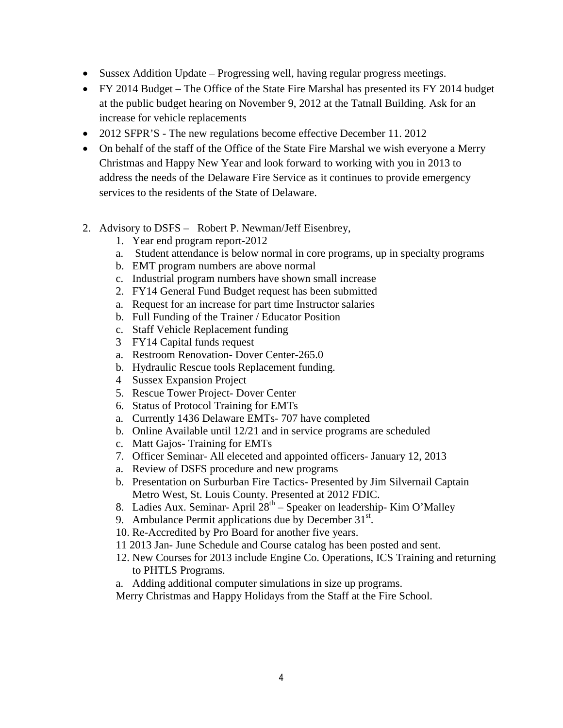- Sussex Addition Update Progressing well, having regular progress meetings.
- FY 2014 Budget The Office of the State Fire Marshal has presented its FY 2014 budget at the public budget hearing on November 9, 2012 at the Tatnall Building. Ask for an increase for vehicle replacements
- 2012 SFPR'S The new regulations become effective December 11. 2012
- On behalf of the staff of the Office of the State Fire Marshal we wish everyone a Merry Christmas and Happy New Year and look forward to working with you in 2013 to address the needs of the Delaware Fire Service as it continues to provide emergency services to the residents of the State of Delaware.
- 2. Advisory to DSFS Robert P. Newman/Jeff Eisenbrey,
	- 1. Year end program report-2012
	- a. Student attendance is below normal in core programs, up in specialty programs
	- b. EMT program numbers are above normal
	- c. Industrial program numbers have shown small increase
	- 2. FY14 General Fund Budget request has been submitted
	- a. Request for an increase for part time Instructor salaries
	- b. Full Funding of the Trainer / Educator Position
	- c. Staff Vehicle Replacement funding
	- 3 FY14 Capital funds request
	- a. Restroom Renovation- Dover Center-265.0
	- b. Hydraulic Rescue tools Replacement funding.
	- 4 Sussex Expansion Project
	- 5. Rescue Tower Project- Dover Center
	- 6. Status of Protocol Training for EMTs
	- a. Currently 1436 Delaware EMTs- 707 have completed
	- b. Online Available until 12/21 and in service programs are scheduled
	- c. Matt Gajos- Training for EMTs
	- 7. Officer Seminar- All eleceted and appointed officers- January 12, 2013
	- a. Review of DSFS procedure and new programs
	- b. Presentation on Surburban Fire Tactics- Presented by Jim Silvernail Captain Metro West, St. Louis County. Presented at 2012 FDIC.
	- 8. Ladies Aux. Seminar- April  $28<sup>th</sup>$  Speaker on leadership- Kim O'Malley
	- 9. Ambulance Permit applications due by December  $31<sup>st</sup>$ .
	- 10. Re-Accredited by Pro Board for another five years.
	- 11 2013 Jan- June Schedule and Course catalog has been posted and sent.
	- 12. New Courses for 2013 include Engine Co. Operations, ICS Training and returning to PHTLS Programs.
	- a. Adding additional computer simulations in size up programs.
	- Merry Christmas and Happy Holidays from the Staff at the Fire School.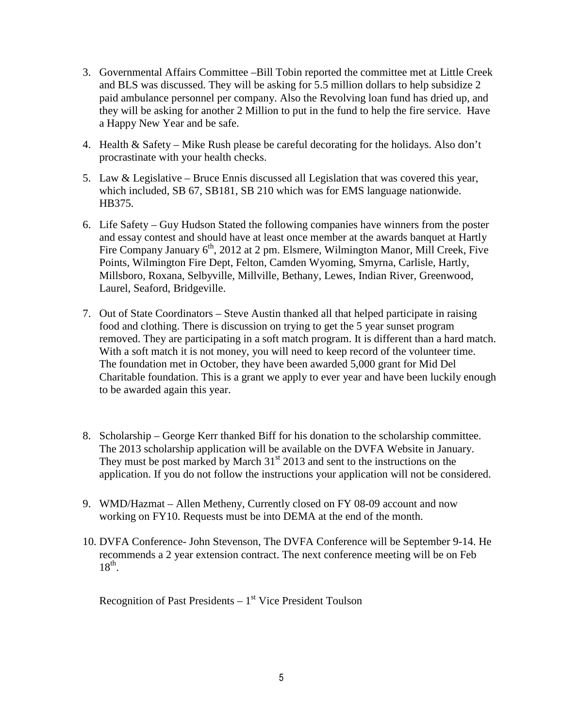- 3. Governmental Affairs Committee –Bill Tobin reported the committee met at Little Creek and BLS was discussed. They will be asking for 5.5 million dollars to help subsidize 2 paid ambulance personnel per company. Also the Revolving loan fund has dried up, and they will be asking for another 2 Million to put in the fund to help the fire service. Have a Happy New Year and be safe.
- 4. Health & Safety Mike Rush please be careful decorating for the holidays. Also don't procrastinate with your health checks.
- 5. Law & Legislative Bruce Ennis discussed all Legislation that was covered this year, which included, SB 67, SB181, SB 210 which was for EMS language nationwide. HB375.
- 6. Life Safety Guy Hudson Stated the following companies have winners from the poster and essay contest and should have at least once member at the awards banquet at Hartly Fire Company January 6<sup>th</sup>, 2012 at 2 pm. Elsmere, Wilmington Manor, Mill Creek, Five Points, Wilmington Fire Dept, Felton, Camden Wyoming, Smyrna, Carlisle, Hartly, Millsboro, Roxana, Selbyville, Millville, Bethany, Lewes, Indian River, Greenwood, Laurel, Seaford, Bridgeville.
- 7. Out of State Coordinators Steve Austin thanked all that helped participate in raising food and clothing. There is discussion on trying to get the 5 year sunset program removed. They are participating in a soft match program. It is different than a hard match. With a soft match it is not money, you will need to keep record of the volunteer time. The foundation met in October, they have been awarded 5,000 grant for Mid Del Charitable foundation. This is a grant we apply to ever year and have been luckily enough to be awarded again this year.
- 8. Scholarship George Kerr thanked Biff for his donation to the scholarship committee. The 2013 scholarship application will be available on the DVFA Website in January. They must be post marked by March  $31<sup>st</sup>$  2013 and sent to the instructions on the application. If you do not follow the instructions your application will not be considered.
- 9. WMD/Hazmat Allen Metheny, Currently closed on FY 08-09 account and now working on FY10. Requests must be into DEMA at the end of the month.
- 10. DVFA Conference- John Stevenson, The DVFA Conference will be September 9-14. He recommends a 2 year extension contract. The next conference meeting will be on Feb  $18^{\text{th}}$ .

Recognition of Past Presidents  $-1<sup>st</sup>$  Vice President Toulson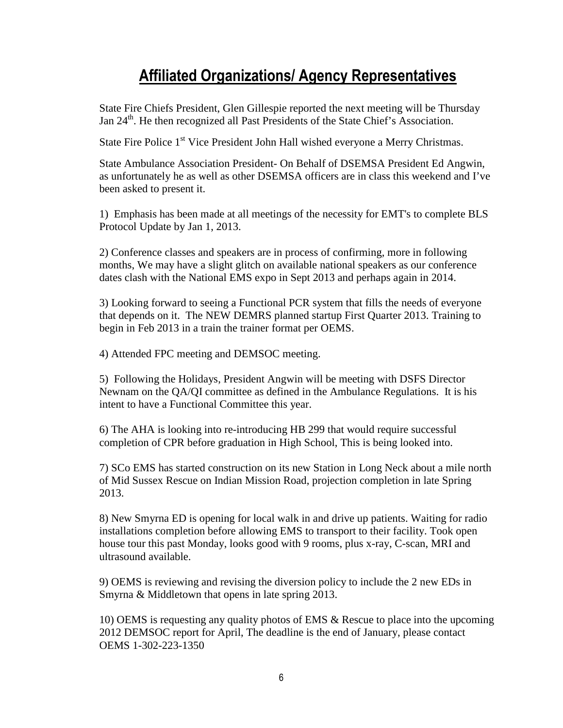## Affiliated Organizations/ Agency Representatives

State Fire Chiefs President, Glen Gillespie reported the next meeting will be Thursday Jan 24<sup>th</sup>. He then recognized all Past Presidents of the State Chief's Association.

State Fire Police 1<sup>st</sup> Vice President John Hall wished everyone a Merry Christmas.

State Ambulance Association President- On Behalf of DSEMSA President Ed Angwin, as unfortunately he as well as other DSEMSA officers are in class this weekend and I've been asked to present it.

1) Emphasis has been made at all meetings of the necessity for EMT's to complete BLS Protocol Update by Jan 1, 2013.

2) Conference classes and speakers are in process of confirming, more in following months, We may have a slight glitch on available national speakers as our conference dates clash with the National EMS expo in Sept 2013 and perhaps again in 2014.

3) Looking forward to seeing a Functional PCR system that fills the needs of everyone that depends on it. The NEW DEMRS planned startup First Quarter 2013. Training to begin in Feb 2013 in a train the trainer format per OEMS.

4) Attended FPC meeting and DEMSOC meeting.

5) Following the Holidays, President Angwin will be meeting with DSFS Director Newnam on the QA/QI committee as defined in the Ambulance Regulations. It is his intent to have a Functional Committee this year.

6) The AHA is looking into re-introducing HB 299 that would require successful completion of CPR before graduation in High School, This is being looked into.

7) SCo EMS has started construction on its new Station in Long Neck about a mile north of Mid Sussex Rescue on Indian Mission Road, projection completion in late Spring 2013.

8) New Smyrna ED is opening for local walk in and drive up patients. Waiting for radio installations completion before allowing EMS to transport to their facility. Took open house tour this past Monday, looks good with 9 rooms, plus x-ray, C-scan, MRI and ultrasound available.

9) OEMS is reviewing and revising the diversion policy to include the 2 new EDs in Smyrna & Middletown that opens in late spring 2013.

10) OEMS is requesting any quality photos of EMS & Rescue to place into the upcoming 2012 DEMSOC report for April, The deadline is the end of January, please contact OEMS 1-302-223-1350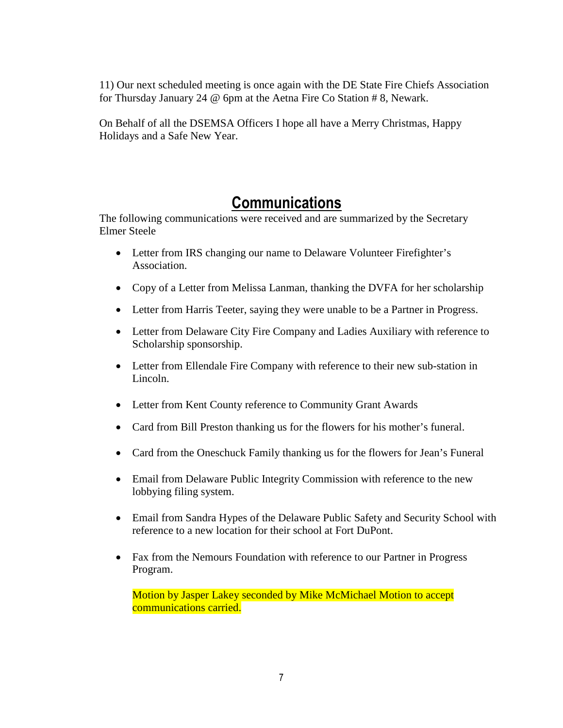11) Our next scheduled meeting is once again with the DE State Fire Chiefs Association for Thursday January 24 @ 6pm at the Aetna Fire Co Station # 8, Newark.

On Behalf of all the DSEMSA Officers I hope all have a Merry Christmas, Happy Holidays and a Safe New Year.

### Communications

The following communications were received and are summarized by the Secretary Elmer Steele

- Letter from IRS changing our name to Delaware Volunteer Firefighter's Association.
- Copy of a Letter from Melissa Lanman, thanking the DVFA for her scholarship
- Letter from Harris Teeter, saying they were unable to be a Partner in Progress.
- Letter from Delaware City Fire Company and Ladies Auxiliary with reference to Scholarship sponsorship.
- Letter from Ellendale Fire Company with reference to their new sub-station in Lincoln.
- Letter from Kent County reference to Community Grant Awards
- Card from Bill Preston thanking us for the flowers for his mother's funeral.
- Card from the Oneschuck Family thanking us for the flowers for Jean's Funeral
- Email from Delaware Public Integrity Commission with reference to the new lobbying filing system.
- Email from Sandra Hypes of the Delaware Public Safety and Security School with reference to a new location for their school at Fort DuPont.
- Fax from the Nemours Foundation with reference to our Partner in Progress Program.

Motion by Jasper Lakey seconded by Mike McMichael Motion to accept communications carried.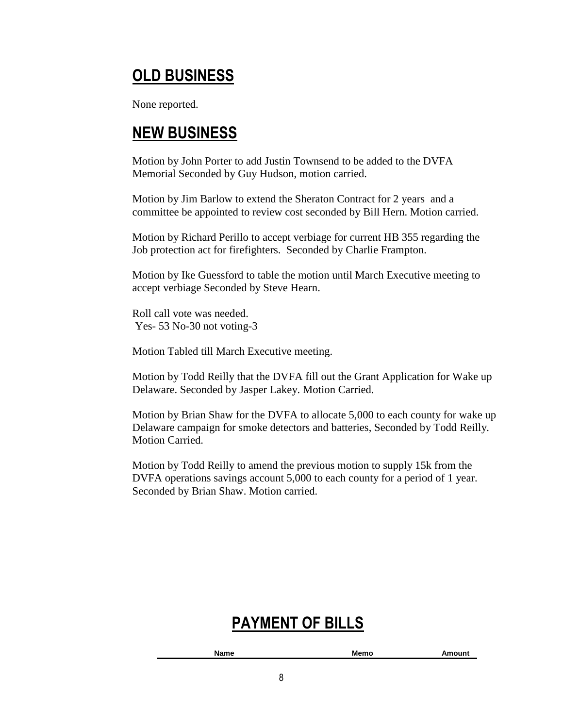# OLD BUSINESS

None reported.

## NEW BUSINESS

Motion by John Porter to add Justin Townsend to be added to the DVFA Memorial Seconded by Guy Hudson, motion carried.

Motion by Jim Barlow to extend the Sheraton Contract for 2 years and a committee be appointed to review cost seconded by Bill Hern. Motion carried.

Motion by Richard Perillo to accept verbiage for current HB 355 regarding the Job protection act for firefighters. Seconded by Charlie Frampton.

Motion by Ike Guessford to table the motion until March Executive meeting to accept verbiage Seconded by Steve Hearn.

Roll call vote was needed. Yes- 53 No-30 not voting-3

Motion Tabled till March Executive meeting.

Motion by Todd Reilly that the DVFA fill out the Grant Application for Wake up Delaware. Seconded by Jasper Lakey. Motion Carried.

Motion by Brian Shaw for the DVFA to allocate 5,000 to each county for wake up Delaware campaign for smoke detectors and batteries, Seconded by Todd Reilly. Motion Carried.

Motion by Todd Reilly to amend the previous motion to supply 15k from the DVFA operations savings account 5,000 to each county for a period of 1 year. Seconded by Brian Shaw. Motion carried.

## PAYMENT OF BILLS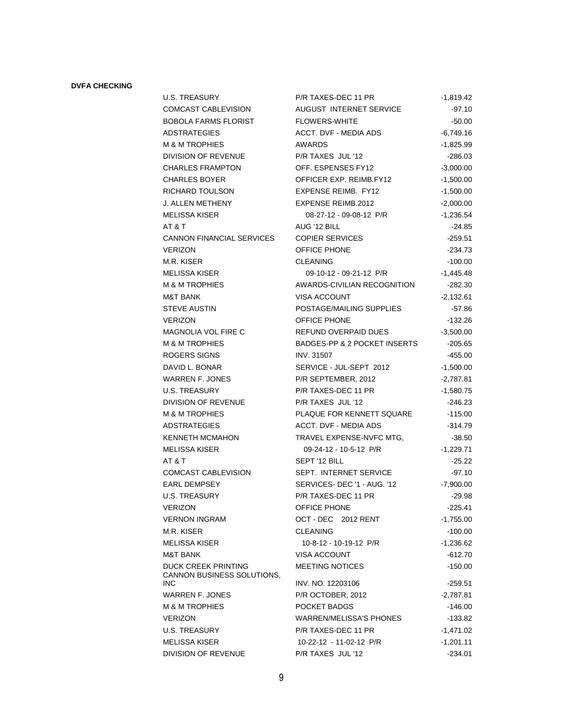#### **DVFA CHECKING**

| U.S. TREASURY                                     | P/R TAXES-DEC 11 PR            | -1,819.42   |
|---------------------------------------------------|--------------------------------|-------------|
| COMCAST CABLEVISION                               | AUGUST INTERNET SERVICE        | $-97.10$    |
| <b>BOBOLA FARMS FLORIST</b>                       | <b>FLOWERS-WHITE</b>           | $-50.00$    |
| ADSTRATEGIES                                      | ACCT. DVF - MEDIA ADS          | $-6,749.16$ |
| M & M TROPHIES                                    | <b>AWARDS</b>                  | -1,825.99   |
| DIVISION OF REVENUE                               | P/R TAXES JUL '12              | $-286.03$   |
| CHARLES FRAMPTON                                  | OFF. ESPENSES FY12             | $-3,000.00$ |
| CHARLES BOYER                                     | OFFICER EXP. REIMB.FY12        | $-1,500.00$ |
| RICHARD TOULSON                                   | <b>EXPENSE REIMB. FY12</b>     | $-1,500.00$ |
| J. ALLEN METHENY                                  | <b>EXPENSE REIMB.2012</b>      | $-2,000.00$ |
| MELISSA KISER                                     | 08-27-12 - 09-08-12 P/R        | $-1,236.54$ |
| AT & T                                            | AUG '12 BILL                   | $-24.85$    |
| CANNON FINANCIAL SERVICES                         | <b>COPIER SERVICES</b>         | $-259.51$   |
| <b>VERIZON</b>                                    | OFFICE PHONE                   | $-234.73$   |
| M.R. KISER                                        | <b>CLEANING</b>                | $-100.00$   |
| MELISSA KISER                                     | 09-10-12 - 09-21-12 P/R        | $-1,445.48$ |
| M & M TROPHIES                                    | AWARDS-CIVILIAN RECOGNITION    | $-282.30$   |
| M&T BANK                                          | <b>VISA ACCOUNT</b>            | $-2,132.61$ |
| STEVE AUSTIN                                      | POSTAGE/MAILING SUPPLIES       | $-57.86$    |
| VERIZON                                           | <b>OFFICE PHONE</b>            | $-132.26$   |
| MAGNOLIA VOL FIRE C                               | REFUND OVERPAID DUES           | $-3,500.00$ |
| M & M TROPHIES                                    | BADGES-PP & 2 POCKET INSERTS   | $-205.65$   |
| ROGERS SIGNS                                      | <b>INV. 31507</b>              | $-455.00$   |
| DAVID L. BONAR                                    | SERVICE - JUL-SEPT 2012        | $-1,500.00$ |
| WARREN F. JONES                                   | P/R SEPTEMBER, 2012            | $-2,787.81$ |
| U.S. TREASURY                                     | P/R TAXES-DEC 11 PR            | $-1,580.75$ |
| DIVISION OF REVENUE                               | P/R TAXES JUL '12              | $-246.23$   |
| M & M TROPHIES                                    | PLAQUE FOR KENNETT SQUARE      | $-115.00$   |
| ADSTRATEGIES                                      | <b>ACCT. DVF - MEDIA ADS</b>   | $-314.79$   |
| KENNETH MCMAHON                                   | TRAVEL EXPENSE-NVFC MTG,       | $-38.50$    |
| MELISSA KISER                                     | 09-24-12 - 10-5-12 P/R         | $-1,229.71$ |
| AT & T                                            | SEPT '12 BILL                  | $-25.22$    |
| COMCAST CABLEVISION                               | SEPT. INTERNET SERVICE         | $-97.10$    |
| <b>EARL DEMPSEY</b>                               | SERVICES-DEC '1 - AUG. '12     | $-7,900.00$ |
| <b>U.S. TREASURY</b>                              | P/R TAXES-DEC 11 PR            | $-29.98$    |
| VERIZON                                           | OFFICE PHONE                   | $-225.41$   |
| VERNON INGRAM                                     | OCT - DEC 2012 RENT            | -1,755.00   |
| M.R. KISER                                        | <b>CLEANING</b>                | $-100.00$   |
| MELISSA KISER                                     | 10-8-12 - 10-19-12 P/R         | $-1,236.62$ |
| M&T BANK                                          | <b>VISA ACCOUNT</b>            | -612.70     |
| DUCK CREEK PRINTING<br>CANNON BUSINESS SOLUTIONS, | <b>MEETING NOTICES</b>         | $-150.00$   |
| INC                                               | INV. NO. 12203106              | $-259.51$   |
| WARREN F. JONES                                   | P/R OCTOBER, 2012              | -2,787.81   |
| M & M TROPHIES                                    | POCKET BADGS                   | $-146.00$   |
| VERIZON                                           | <b>WARREN/MELISSA'S PHONES</b> | -133.82     |
| U.S. TREASURY                                     | P/R TAXES-DEC 11 PR            | -1,471.02   |
| MELISSA KISER                                     | 10-22-12 - 11-02-12 P/R        | -1,201.11   |
| DIVISION OF REVENUE                               | P/R TAXES JUL '12              | $-234.01$   |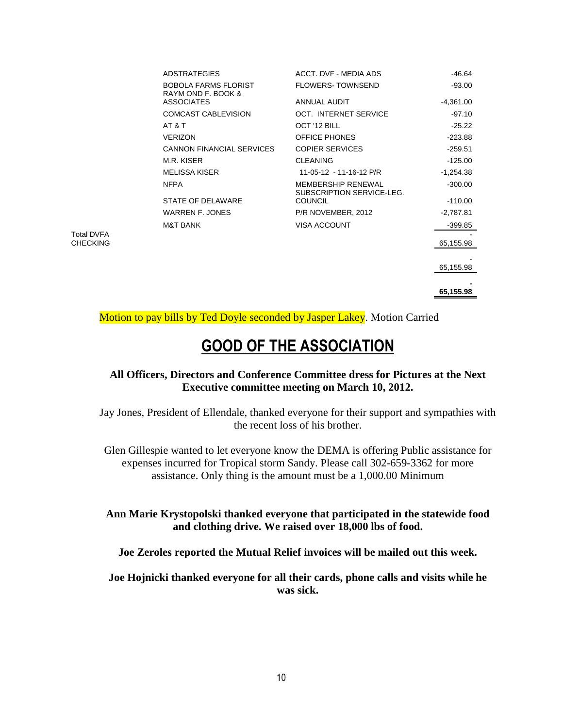| <b>ADSTRATEGIES</b>                               | ACCT. DVF - MEDIA ADS                                  | -46.64      |
|---------------------------------------------------|--------------------------------------------------------|-------------|
| <b>BOBOLA FARMS FLORIST</b><br>RAYM OND F. BOOK & | <b>FLOWERS-TOWNSEND</b>                                | $-93.00$    |
| <b>ASSOCIATES</b>                                 | <b>ANNUAL AUDIT</b>                                    | $-4,361.00$ |
| <b>COMCAST CABLEVISION</b>                        | OCT. INTERNET SERVICE                                  | $-97.10$    |
| AT & T                                            | OCT '12 BILL                                           | $-25.22$    |
| <b>VERIZON</b>                                    | <b>OFFICE PHONES</b>                                   | $-223.88$   |
| <b>CANNON FINANCIAL SERVICES</b>                  | <b>COPIER SERVICES</b>                                 | $-259.51$   |
| M.R. KISER                                        | <b>CLEANING</b>                                        | $-125.00$   |
| <b>MELISSA KISER</b>                              | 11-05-12 - 11-16-12 P/R                                | $-1,254.38$ |
| <b>NFPA</b>                                       | <b>MEMBERSHIP RENEWAL</b><br>SUBSCRIPTION SERVICE-LEG. | $-300.00$   |
| STATE OF DELAWARE                                 | <b>COUNCIL</b>                                         | $-110.00$   |
| <b>WARREN F. JONES</b>                            | P/R NOVEMBER, 2012                                     | -2,787.81   |
| <b>M&amp;T BANK</b>                               | <b>VISA ACCOUNT</b>                                    | $-399.85$   |
|                                                   |                                                        | 65,155.98   |
|                                                   |                                                        |             |
|                                                   |                                                        | 65,155.98   |
|                                                   |                                                        |             |

**65,155.98** 

Motion to pay bills by Ted Doyle seconded by Jasper Lakey. Motion Carried

Total DVFA CHECKING

### GOOD OF THE ASSOCIATION

#### **All Officers, Directors and Conference Committee dress for Pictures at the Next Executive committee meeting on March 10, 2012.**

Jay Jones, President of Ellendale, thanked everyone for their support and sympathies with the recent loss of his brother.

Glen Gillespie wanted to let everyone know the DEMA is offering Public assistance for expenses incurred for Tropical storm Sandy. Please call 302-659-3362 for more assistance. Only thing is the amount must be a 1,000.00 Minimum

**Ann Marie Krystopolski thanked everyone that participated in the statewide food and clothing drive. We raised over 18,000 lbs of food.** 

**Joe Zeroles reported the Mutual Relief invoices will be mailed out this week.** 

**Joe Hojnicki thanked everyone for all their cards, phone calls and visits while he was sick.**